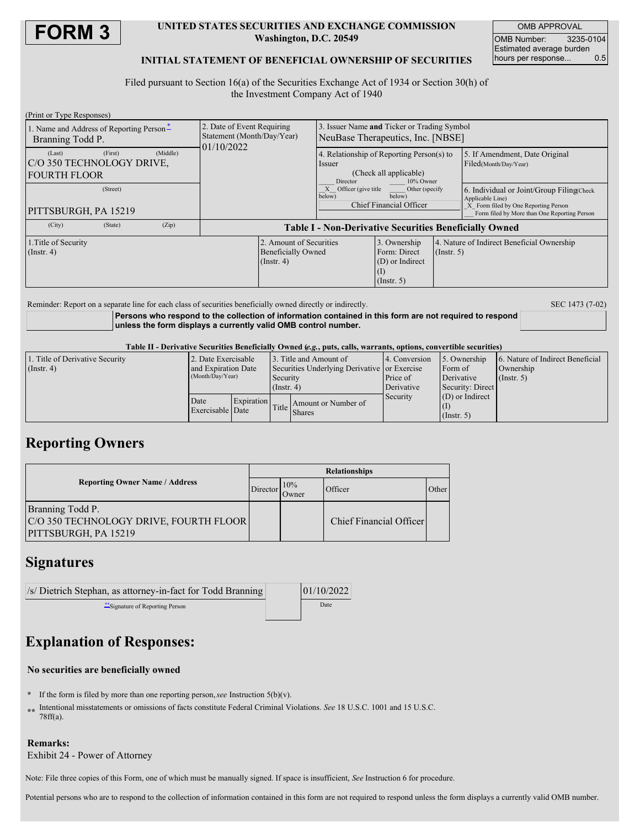

### **UNITED STATES SECURITIES AND EXCHANGE COMMISSION Washington, D.C. 20549**

OMB APPROVAL OMB Number: 3235-0104 Estimated average burden<br>hours per response... 0.5 hours per response...

### **INITIAL STATEMENT OF BENEFICIAL OWNERSHIP OF SECURITIES**

Filed pursuant to Section 16(a) of the Securities Exchange Act of 1934 or Section 30(h) of the Investment Company Act of 1940

| (Print or Type Responses)                                                          |                                                                          |                                                                                                        |                                                                         |                  |                                                                                                                                                        |  |
|------------------------------------------------------------------------------------|--------------------------------------------------------------------------|--------------------------------------------------------------------------------------------------------|-------------------------------------------------------------------------|------------------|--------------------------------------------------------------------------------------------------------------------------------------------------------|--|
| 1. Name and Address of Reporting Person-<br>Branning Todd P.                       | 2. Date of Event Requiring<br>Statement (Month/Day/Year)<br>01/10/2022   | 3. Issuer Name and Ticker or Trading Symbol<br>NeuBase Therapeutics, Inc. [NBSE]                       |                                                                         |                  |                                                                                                                                                        |  |
| (Middle)<br>(First)<br>(Last)<br>IC/O 350 TECHNOLOGY DRIVE,<br><b>FOURTH FLOOR</b> |                                                                          | 4. Relationship of Reporting Person(s) to<br>Issuer<br>(Check all applicable)<br>10% Owner<br>Director |                                                                         |                  | 5. If Amendment, Date Original<br>Filed(Month/Day/Year)                                                                                                |  |
| (Street)<br>PITTSBURGH, PA 15219                                                   |                                                                          | $X$ Officer (give title<br>below)                                                                      | Other (specify<br>below)<br>Chief Financial Officer                     |                  | 6. Individual or Joint/Group Filing(Check)<br>Applicable Line)<br>X Form filed by One Reporting Person<br>Form filed by More than One Reporting Person |  |
| (Zip)<br>(City)<br>(State)                                                         | <b>Table I - Non-Derivative Securities Beneficially Owned</b>            |                                                                                                        |                                                                         |                  |                                                                                                                                                        |  |
| 1. Title of Security<br>$($ Instr. 4 $)$                                           | 2. Amount of Securities<br><b>Beneficially Owned</b><br>$($ Instr. 4 $)$ |                                                                                                        | 3. Ownership<br>Form: Direct<br>(D) or Indirect<br>(1)<br>$($ Instr. 5) | $($ Instr. 5 $)$ | 4. Nature of Indirect Beneficial Ownership                                                                                                             |  |

Reminder: Report on a separate line for each class of securities beneficially owned directly or indirectly. SEC 1473 (7-02)

**Persons who respond to the collection of information contained in this form are not required to respond unless the form displays a currently valid OMB control number.**

Table II - Derivative Securities Beneficially Owned (e.g., puts, calls, warrants, options, convertible securities)

| 1. Title of Derivative Security | 2. Date Exercisable |            |                                              | 3. Title and Amount of              | 4. Conversion | 5. Ownership      | 6. Nature of Indirect Beneficial |
|---------------------------------|---------------------|------------|----------------------------------------------|-------------------------------------|---------------|-------------------|----------------------------------|
| $($ Instr. 4)                   | and Expiration Date |            | Securities Underlying Derivative or Exercise |                                     |               | Form of           | Ownership                        |
|                                 | (Month/Day/Year)    |            | Security<br>$($ Instr. 4 $)$                 |                                     | Price of      | Derivative        | $($ Instr. 5 $)$                 |
|                                 |                     |            |                                              |                                     | Derivative    | Security: Direct  |                                  |
|                                 | Date                | Expiration |                                              |                                     | Security      | $(D)$ or Indirect |                                  |
|                                 | Exercisable Date    |            |                                              | Amount or Number of<br>Title Shares |               |                   |                                  |
|                                 |                     |            |                                              |                                     |               | $($ Instr. 5 $)$  |                                  |

# **Reporting Owners**

|                                                                                    | <b>Relationships</b> |                          |                         |       |  |
|------------------------------------------------------------------------------------|----------------------|--------------------------|-------------------------|-------|--|
| <b>Reporting Owner Name / Address</b>                                              |                      | 10%<br>Director<br>Owner | Officer                 | Other |  |
| Branning Todd P.<br>C/O 350 TECHNOLOGY DRIVE, FOURTH FLOOR<br>PITTSBURGH, PA 15219 |                      |                          | Chief Financial Officer |       |  |

## **Signatures**

| /s/ Dietrich Stephan, as attorney-in-fact for Todd Branning | 01/10/2022 |
|-------------------------------------------------------------|------------|
| $*$ Signature of Reporting Person                           | Date       |

# **Explanation of Responses:**

### **No securities are beneficially owned**

- **\*** If the form is filed by more than one reporting person,*see* Instruction 5(b)(v).
- **\*\*** Intentional misstatements or omissions of facts constitute Federal Criminal Violations. *See* 18 U.S.C. 1001 and 15 U.S.C. 78ff(a).

## **Remarks:**

Exhibit 24 - Power of Attorney

Note: File three copies of this Form, one of which must be manually signed. If space is insufficient, *See* Instruction 6 for procedure.

Potential persons who are to respond to the collection of information contained in this form are not required to respond unless the form displays a currently valid OMB number.